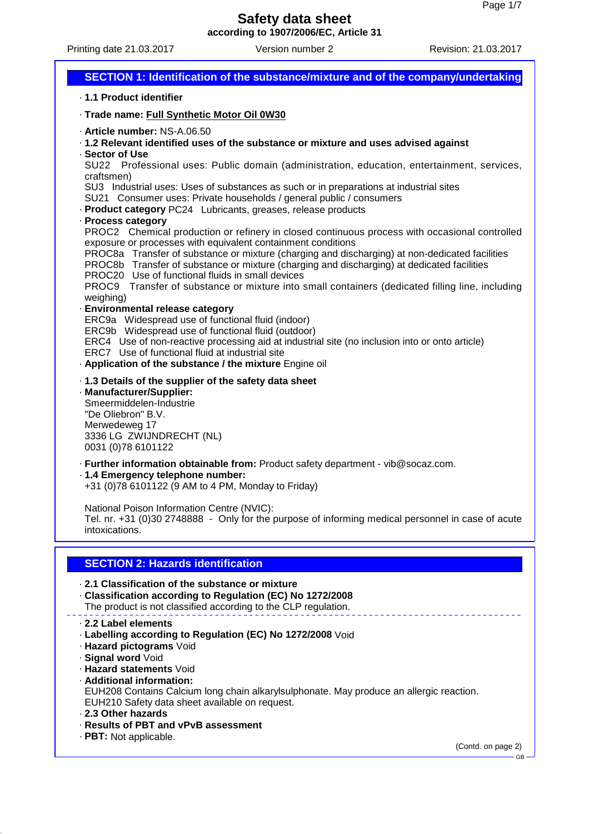Printing date 21.03.2017 Version number 2 Revision: 21.03.2017

# **SECTION 1: Identification of the substance/mixture and of the company/undertaking**

### · **1.1 Product identifier**

· **Trade name: Full Synthetic Motor Oil 0W30**

- · **Article number:** NS-A.06.50
- · **1.2 Relevant identified uses of the substance or mixture and uses advised against**
- · **Sector of Use**

SU22 Professional uses: Public domain (administration, education, entertainment, services, craftsmen)

SU3 Industrial uses: Uses of substances as such or in preparations at industrial sites

- SU21 Consumer uses: Private households / general public / consumers
- · **Product category** PC24 Lubricants, greases, release products
- · **Process category**

PROC2 Chemical production or refinery in closed continuous process with occasional controlled exposure or processes with equivalent containment conditions

PROC8a Transfer of substance or mixture (charging and discharging) at non-dedicated facilities

PROC8b Transfer of substance or mixture (charging and discharging) at dedicated facilities

PROC20 Use of functional fluids in small devices

PROC9 Transfer of substance or mixture into small containers (dedicated filling line, including weighing)

### · **Environmental release category**

ERC9a Widespread use of functional fluid (indoor)

ERC9b Widespread use of functional fluid (outdoor)

ERC4 Use of non-reactive processing aid at industrial site (no inclusion into or onto article)

ERC7 Use of functional fluid at industrial site

· **Application of the substance / the mixture** Engine oil

### · **1.3 Details of the supplier of the safety data sheet**

· **Manufacturer/Supplier:**

Smeermiddelen-Industrie "De Oliebron" B.V. Merwedeweg 17 3336 LG ZWIJNDRECHT (NL) 0031 (0)78 6101122

· **Further information obtainable from:** Product safety department - vib@socaz.com.

## · **1.4 Emergency telephone number:**

+31 (0)78 6101122 (9 AM to 4 PM, Monday to Friday)

National Poison Information Centre (NVIC):

Tel. nr. +31 (0)30 2748888 - Only for the purpose of informing medical personnel in case of acute intoxications.

## **SECTION 2: Hazards identification**

## · **2.1 Classification of the substance or mixture**

- · **Classification according to Regulation (EC) No 1272/2008** The product is not classified according to the CLP regulation.
- · **2.2 Label elements**
- · **Labelling according to Regulation (EC) No 1272/2008** Void
- · **Hazard pictograms** Void
- · **Signal word** Void
- · **Hazard statements** Void
- · **Additional information:**

EUH208 Contains Calcium long chain alkarylsulphonate. May produce an allergic reaction. EUH210 Safety data sheet available on request.

- · **2.3 Other hazards**
- · **Results of PBT and vPvB assessment**
- · **PBT:** Not applicable.

(Contd. on page 2)

GB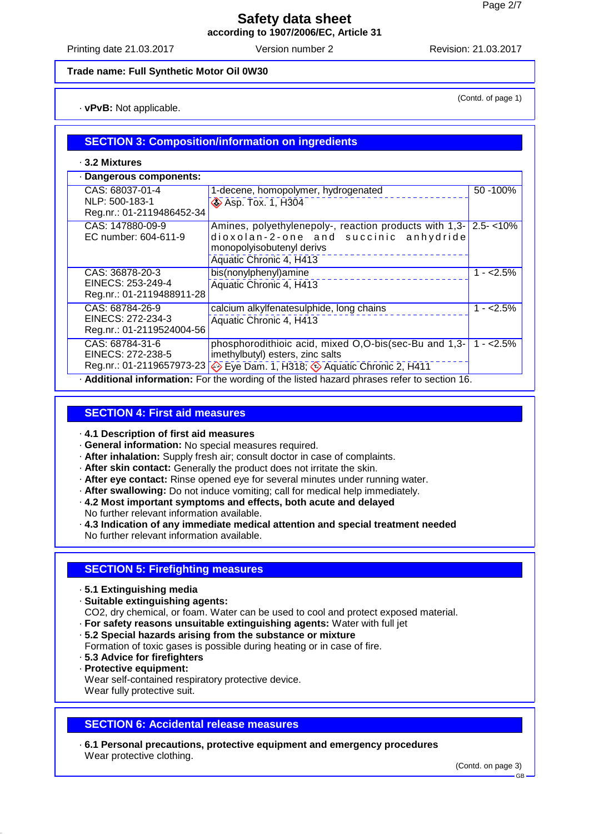Printing date 21.03.2017 Version number 2 Revision: 21.03.2017

(Contd. of page 1)

### **Trade name: Full Synthetic Motor Oil 0W30**

· **vPvB:** Not applicable.

## **SECTION 3: Composition/information on ingredients**

· **3.2 Mixtures**

| · Dangerous components:                                                                          |                                                                                                                                                                                      |             |  |  |
|--------------------------------------------------------------------------------------------------|--------------------------------------------------------------------------------------------------------------------------------------------------------------------------------------|-------------|--|--|
| CAS: 68037-01-4<br>NLP: 500-183-1<br>Reg.nr.: 01-2119486452-34                                   | 1-decene, homopolymer, hydrogenated<br><b>Asp. Tox. 1, H304</b>                                                                                                                      | 50 - 100%   |  |  |
| CAS: 147880-09-9<br>EC number: 604-611-9                                                         | Amines, polyethylenepoly-, reaction products with $1,3$ - $2.5$ - $10\%$<br>dioxolan-2-one and succinic anhydride<br>monopolyisobutenyl derivs<br>Aquatic Chronic 4, H413            |             |  |  |
| CAS: 36878-20-3<br>EINECS: 253-249-4<br>Reg.nr.: 01-2119488911-28                                | bis(nonylphenyl)amine<br>Aquatic Chronic 4, H413                                                                                                                                     | $1 - 2.5%$  |  |  |
| CAS: 68784-26-9<br>EINECS: 272-234-3<br>Reg.nr.: 01-2119524004-56                                | calcium alkylfenatesulphide, long chains<br>Aquatic Chronic 4, H413                                                                                                                  | $1 - 2.5%$  |  |  |
| CAS: 68784-31-6<br>EINECS: 272-238-5                                                             | phosphorodithioic acid, mixed O,O-bis(sec-Bu and 1,3-<br>imethylbutyl) esters, zinc salts<br>Reg.nr.: 01-2119657973-23 $\otimes$ Eye Dam. 1, H318; $\otimes$ Aquatic Chronic 2, H411 | $1 - 2.5\%$ |  |  |
| <b>Additional information:</b> For the wording of the listed hazard phrases refer to section 16. |                                                                                                                                                                                      |             |  |  |

## **SECTION 4: First aid measures**

- · **4.1 Description of first aid measures**
- · **General information:** No special measures required.
- · **After inhalation:** Supply fresh air; consult doctor in case of complaints.
- · **After skin contact:** Generally the product does not irritate the skin.
- · **After eye contact:** Rinse opened eye for several minutes under running water.
- · **After swallowing:** Do not induce vomiting; call for medical help immediately.
- · **4.2 Most important symptoms and effects, both acute and delayed**
- No further relevant information available.
- · **4.3 Indication of any immediate medical attention and special treatment needed** No further relevant information available.

## **SECTION 5: Firefighting measures**

- · **5.1 Extinguishing media**
- · **Suitable extinguishing agents:**
- CO2, dry chemical, or foam. Water can be used to cool and protect exposed material.
- · **For safety reasons unsuitable extinguishing agents:** Water with full jet
- · **5.2 Special hazards arising from the substance or mixture**
- Formation of toxic gases is possible during heating or in case of fire.
- · **5.3 Advice for firefighters**
- · **Protective equipment:**

Wear self-contained respiratory protective device. Wear fully protective suit.

## **SECTION 6: Accidental release measures**

· **6.1 Personal precautions, protective equipment and emergency procedures** Wear protective clothing.

(Contd. on page 3)

GB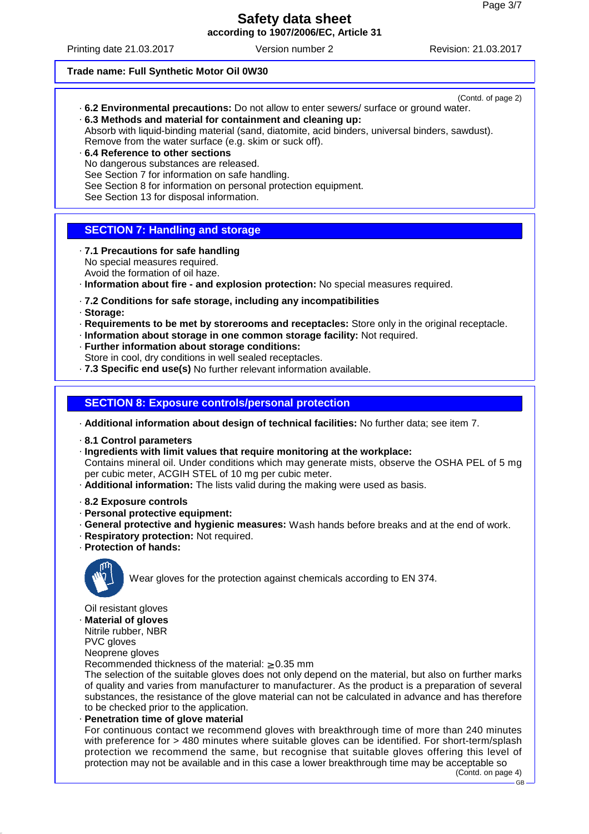Printing date 21.03.2017 Version number 2 Revision: 21.03.2017

(Contd. of page 2)

### **Trade name: Full Synthetic Motor Oil 0W30**

- · **6.2 Environmental precautions:** Do not allow to enter sewers/ surface or ground water.
- · **6.3 Methods and material for containment and cleaning up:** Absorb with liquid-binding material (sand, diatomite, acid binders, universal binders, sawdust). Remove from the water surface (e.g. skim or suck off).
- · **6.4 Reference to other sections** No dangerous substances are released. See Section 7 for information on safe handling. See Section 8 for information on personal protection equipment. See Section 13 for disposal information.

## **SECTION 7: Handling and storage**

- · **7.1 Precautions for safe handling** No special measures required. Avoid the formation of oil haze.
- · **Information about fire and explosion protection:** No special measures required.
- · **7.2 Conditions for safe storage, including any incompatibilities**
- · **Storage:**
- · **Requirements to be met by storerooms and receptacles:** Store only in the original receptacle.
- · **Information about storage in one common storage facility:** Not required.
- · **Further information about storage conditions:**
- Store in cool, dry conditions in well sealed receptacles.
- · **7.3 Specific end use(s)** No further relevant information available.

## **SECTION 8: Exposure controls/personal protection**

· **Additional information about design of technical facilities:** No further data; see item 7.

- · **8.1 Control parameters**
- · **Ingredients with limit values that require monitoring at the workplace:** Contains mineral oil. Under conditions which may generate mists, observe the OSHA PEL of 5 mg

per cubic meter, ACGIH STEL of 10 mg per cubic meter.

- · **Additional information:** The lists valid during the making were used as basis.
- · **8.2 Exposure controls**
- · **Personal protective equipment:**
- · **General protective and hygienic measures:** Wash hands before breaks and at the end of work.
- · **Respiratory protection:** Not required.
- · **Protection of hands:**



Wear gloves for the protection against chemicals according to EN 374.

Oil resistant gloves

· **Material of gloves**

Nitrile rubber, NBR PVC gloves

Neoprene gloves

Recommended thickness of the material:  $\geq 0.35$  mm

The selection of the suitable gloves does not only depend on the material, but also on further marks of quality and varies from manufacturer to manufacturer. As the product is a preparation of several substances, the resistance of the glove material can not be calculated in advance and has therefore to be checked prior to the application.

· **Penetration time of glove material**

For continuous contact we recommend gloves with breakthrough time of more than 240 minutes with preference for > 480 minutes where suitable gloves can be identified. For short-term/splash protection we recommend the same, but recognise that suitable gloves offering this level of protection may not be available and in this case a lower breakthrough time may be acceptable so

(Contd. on page 4)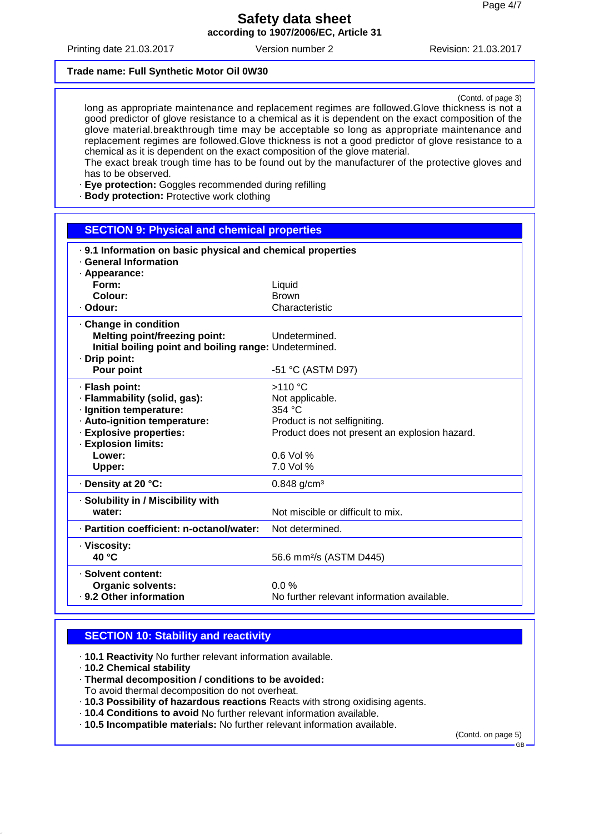Printing date 21.03.2017 Version number 2 Revision: 21.03.2017

#### **Trade name: Full Synthetic Motor Oil 0W30**

(Contd. of page 3)

long as appropriate maintenance and replacement regimes are followed.Glove thickness is not a good predictor of glove resistance to a chemical as it is dependent on the exact composition of the glove material.breakthrough time may be acceptable so long as appropriate maintenance and replacement regimes are followed.Glove thickness is not a good predictor of glove resistance to a chemical as it is dependent on the exact composition of the glove material. The exact break trough time has to be found out by the manufacturer of the protective gloves and has to be observed.

· **Eye protection:** Goggles recommended during refilling

· **Body protection:** Protective work clothing

# **SECTION 9: Physical and chemical properties** · **9.1 Information on basic physical and chemical properties** · **General Information** · **Appearance: Form:** Liquid **Colour:** Brown · **Odour:** Characteristic · **Change in condition Melting point/freezing point:** Undetermined. **Initial boiling point and boiling range:** Undetermined. · **Drip point: Pour point**  $-51 \text{ °C}$  (ASTM D97) · **Flash point:** >110 °C · **Flammability (solid, gas):** Not applicable. · **Ignition temperature:** 354 °C · Auto-ignition temperature: Product is not selfigniting. **Explosive properties:** Product does not present an explosion hazard. · **Explosion limits: Lower:** 0.6 Vol % **Upper:** 7.0 Vol % · **Density at 20 °C:** 0.848 g/cm³ · **Solubility in / Miscibility with water:**  $\blacksquare$  Not miscible or difficult to mix. · **Partition coefficient: n-octanol/water:** Not determined. · **Viscosity: 40 °C** 56.6 mm²/s (ASTM D445) · **Solvent content: Organic solvents:** 0.0 %<br>
9.2 Other information and Default Default Default Default Default Default Default Default Default Default Defau No further relevant information available.

## **SECTION 10: Stability and reactivity**

- · **10.1 Reactivity** No further relevant information available.
- · **10.2 Chemical stability**
- · **Thermal decomposition / conditions to be avoided:**
- To avoid thermal decomposition do not overheat.
- · **10.3 Possibility of hazardous reactions** Reacts with strong oxidising agents.
- · **10.4 Conditions to avoid** No further relevant information available.
- · **10.5 Incompatible materials:** No further relevant information available.

(Contd. on page 5)

GB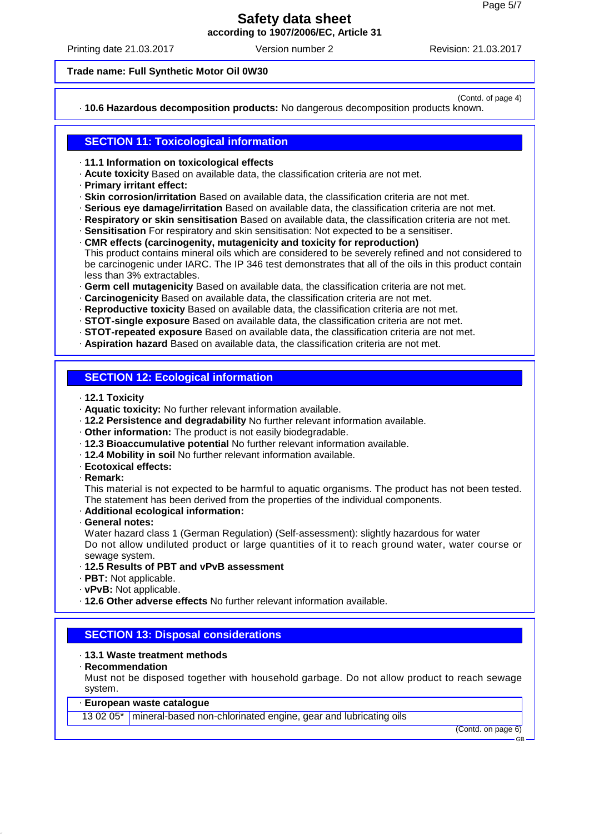Printing date 21.03.2017 Version number 2 Revision: 21.03.2017

(Contd. of page 4)

#### **Trade name: Full Synthetic Motor Oil 0W30**

· **10.6 Hazardous decomposition products:** No dangerous decomposition products known.

## **SECTION 11: Toxicological information**

· **11.1 Information on toxicological effects**

- · **Acute toxicity** Based on available data, the classification criteria are not met.
- · **Primary irritant effect:**
- · **Skin corrosion/irritation** Based on available data, the classification criteria are not met.
- · **Serious eye damage/irritation** Based on available data, the classification criteria are not met.
- · **Respiratory or skin sensitisation** Based on available data, the classification criteria are not met.
- · **Sensitisation** For respiratory and skin sensitisation: Not expected to be a sensitiser.
- · **CMR effects (carcinogenity, mutagenicity and toxicity for reproduction)** This product contains mineral oils which are considered to be severely refined and not considered to be carcinogenic under IARC. The IP 346 test demonstrates that all of the oils in this product contain less than 3% extractables.
- · **Germ cell mutagenicity** Based on available data, the classification criteria are not met.
- · **Carcinogenicity** Based on available data, the classification criteria are not met.
- · **Reproductive toxicity** Based on available data, the classification criteria are not met.
- · **STOT-single exposure** Based on available data, the classification criteria are not met.
- · **STOT-repeated exposure** Based on available data, the classification criteria are not met.
- · **Aspiration hazard** Based on available data, the classification criteria are not met.

## **SECTION 12: Ecological information**

- · **12.1 Toxicity**
- · **Aquatic toxicity:** No further relevant information available.
- · **12.2 Persistence and degradability** No further relevant information available.
- · **Other information:** The product is not easily biodegradable.
- · **12.3 Bioaccumulative potential** No further relevant information available.
- · **12.4 Mobility in soil** No further relevant information available.
- · **Ecotoxical effects:**
- · **Remark:**

This material is not expected to be harmful to aquatic organisms. The product has not been tested. The statement has been derived from the properties of the individual components.

- · **Additional ecological information:**
- · **General notes:**

Water hazard class 1 (German Regulation) (Self-assessment): slightly hazardous for water Do not allow undiluted product or large quantities of it to reach ground water, water course or sewage system.

- · **12.5 Results of PBT and vPvB assessment**
- · **PBT:** Not applicable.
- · **vPvB:** Not applicable.
- · **12.6 Other adverse effects** No further relevant information available.

## **SECTION 13: Disposal considerations**

## · **13.1 Waste treatment methods**

· **Recommendation**

Must not be disposed together with household garbage. Do not allow product to reach sewage system.

### · **European waste catalogue**

13 02 05<sup>\*</sup> | mineral-based non-chlorinated engine, gear and lubricating oils

(Contd. on page 6)

GB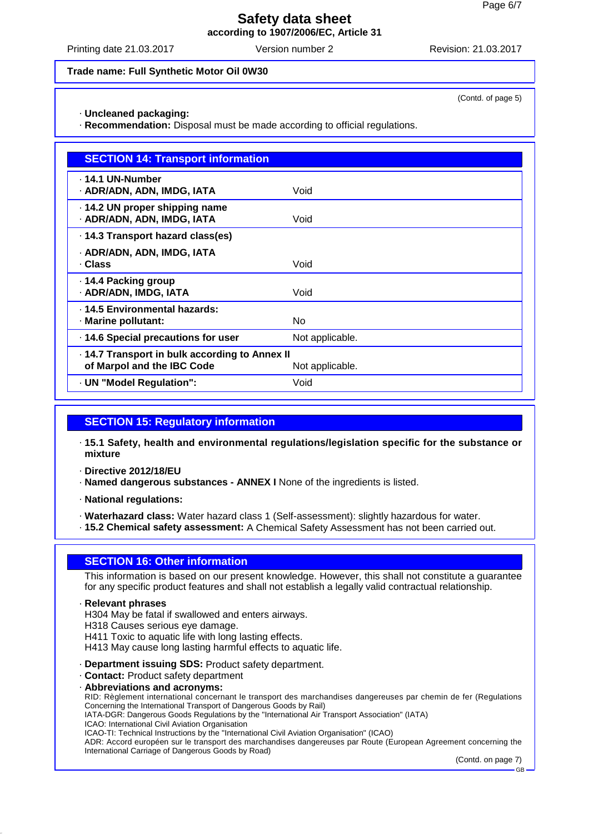Printing date 21.03.2017 Version number 2 Revision: 21.03.2017

(Contd. of page 5)

#### **Trade name: Full Synthetic Motor Oil 0W30**

· **Uncleaned packaging:**

· **Recommendation:** Disposal must be made according to official regulations.

| <b>SECTION 14: Transport information</b>                                   |                 |
|----------------------------------------------------------------------------|-----------------|
| . 14.1 UN-Number<br>· ADR/ADN, ADN, IMDG, IATA                             | Void            |
| 14.2 UN proper shipping name<br>· ADR/ADN, ADN, IMDG, IATA                 | Void            |
| . 14.3 Transport hazard class(es)                                          |                 |
| · ADR/ADN, ADN, IMDG, IATA<br>· Class                                      | Void            |
| ⋅ 14.4 Packing group<br>· ADR/ADN, IMDG, IATA                              | Void            |
| . 14.5 Environmental hazards:<br>· Marine pollutant:                       | No.             |
| · 14.6 Special precautions for user                                        | Not applicable. |
| 14.7 Transport in bulk according to Annex II<br>of Marpol and the IBC Code | Not applicable. |
| · UN "Model Regulation":                                                   | Void            |

## **SECTION 15: Regulatory information**

· **15.1 Safety, health and environmental regulations/legislation specific for the substance or mixture**

· **Directive 2012/18/EU**

· **Named dangerous substances - ANNEX I** None of the ingredients is listed.

· **National regulations:**

· **Waterhazard class:** Water hazard class 1 (Self-assessment): slightly hazardous for water.

· **15.2 Chemical safety assessment:** A Chemical Safety Assessment has not been carried out.

## **SECTION 16: Other information**

This information is based on our present knowledge. However, this shall not constitute a guarantee for any specific product features and shall not establish a legally valid contractual relationship.

· **Relevant phrases**

H304 May be fatal if swallowed and enters airways.

H318 Causes serious eye damage.

H411 Toxic to aquatic life with long lasting effects.

H413 May cause long lasting harmful effects to aquatic life.

· **Department issuing SDS:** Product safety department.

· **Contact:** Product safety department

· **Abbreviations and acronyms:**

RID: Règlement international concernant le transport des marchandises dangereuses par chemin de fer (Regulations Concerning the International Transport of Dangerous Goods by Rail)

IATA-DGR: Dangerous Goods Regulations by the "International Air Transport Association" (IATA)

ICAO: International Civil Aviation Organisation

ICAO-TI: Technical Instructions by the "International Civil Aviation Organisation" (ICAO)

ADR: Accord européen sur le transport des marchandises dangereuses par Route (European Agreement concerning the International Carriage of Dangerous Goods by Road)

(Contd. on page 7)

GB